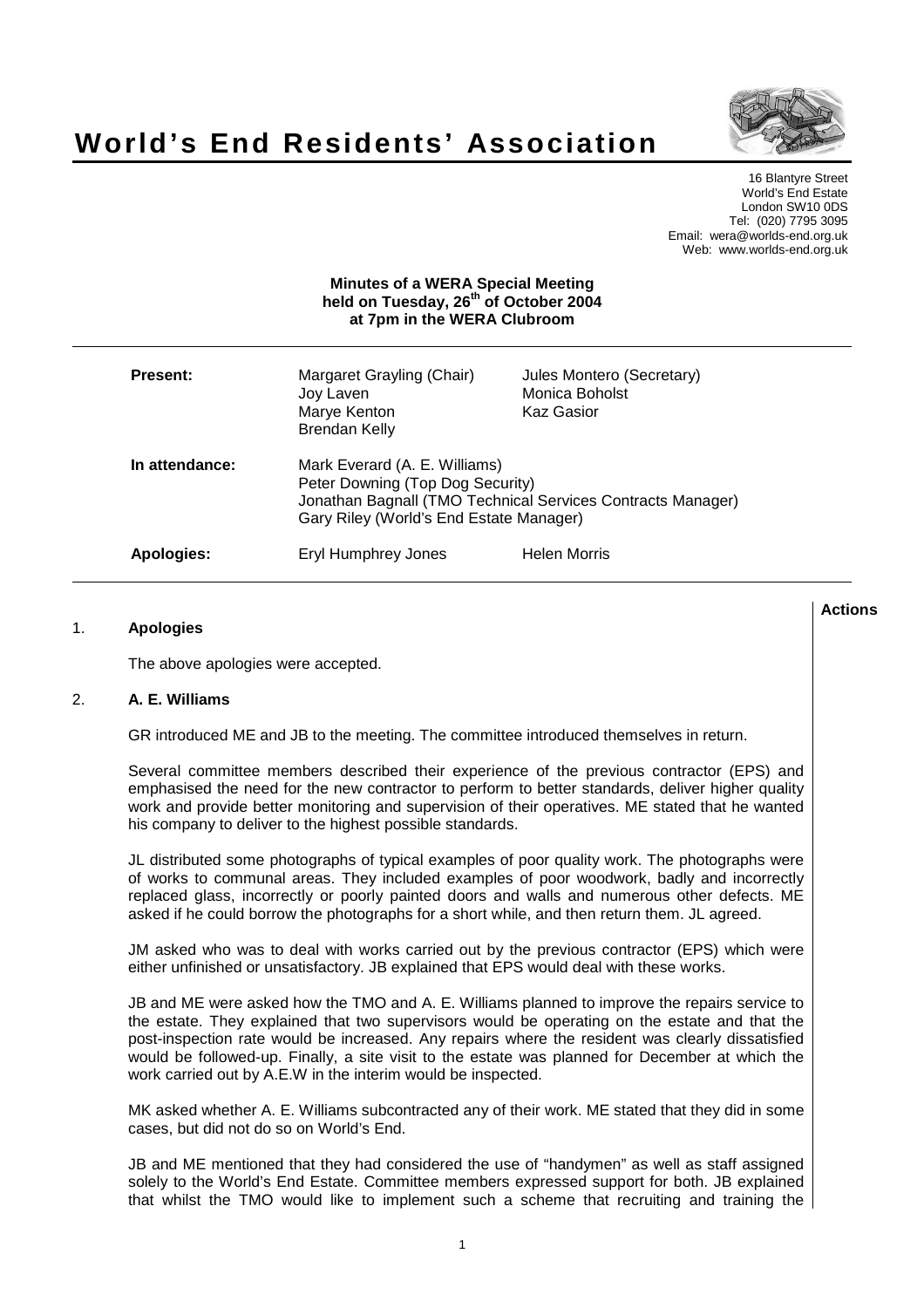



16 Blantyre Street World's End Estate London SW10 0DS Tel: (020) 7795 3095 Email: wera@worlds-end.org.uk Web: www.worlds-end.org.uk

### **Minutes of a WERA Special Meeting held on Tuesday, 26 th of October 2004 at 7pm in the WERA Clubroom**

| <b>Present:</b>   | Margaret Grayling (Chair)<br>Joy Laven<br>Marye Kenton<br>Brendan Kelly                                                                                                     | Jules Montero (Secretary)<br>Monica Boholst<br>Kaz Gasior |
|-------------------|-----------------------------------------------------------------------------------------------------------------------------------------------------------------------------|-----------------------------------------------------------|
| In attendance:    | Mark Everard (A. E. Williams)<br>Peter Downing (Top Dog Security)<br>Jonathan Bagnall (TMO Technical Services Contracts Manager)<br>Gary Riley (World's End Estate Manager) |                                                           |
| <b>Apologies:</b> | Eryl Humphrey Jones                                                                                                                                                         | <b>Helen Morris</b>                                       |

# 1. **Apologies**

The above apologies were accepted.

### 2. **A. E. Williams**

GR introduced ME and JB to the meeting. The committee introduced themselves in return.

Several committee members described their experience of the previous contractor (EPS) and emphasised the need for the new contractor to perform to better standards, deliver higher quality work and provide better monitoring and supervision of their operatives. ME stated that he wanted his company to deliver to the highest possible standards.

JL distributed some photographs of typical examples of poor quality work. The photographs were of works to communal areas. They included examples of poor woodwork, badly and incorrectly replaced glass, incorrectly or poorly painted doors and walls and numerous other defects. ME asked if he could borrow the photographs for a short while, and then return them. JL agreed.

JM asked who was to deal with works carried out by the previous contractor (EPS) which were either unfinished or unsatisfactory. JB explained that EPS would deal with these works.

JB and ME were asked how the TMO and A. E. Williams planned to improve the repairs service to the estate. They explained that two supervisors would be operating on the estate and that the post-inspection rate would be increased. Any repairs where the resident was clearly dissatisfied would be followed-up. Finally, a site visit to the estate was planned for December at which the work carried out by A.E.W in the interim would be inspected.

MK asked whether A. E. Williams subcontracted any of their work. ME stated that they did in some cases, but did not do so on World's End.

JB and ME mentioned that they had considered the use of "handymen" as well as staff assigned solely to the World's End Estate. Committee members expressed support for both. JB explained that whilst the TMO would like to implement such a scheme that recruiting and training the

**Actions**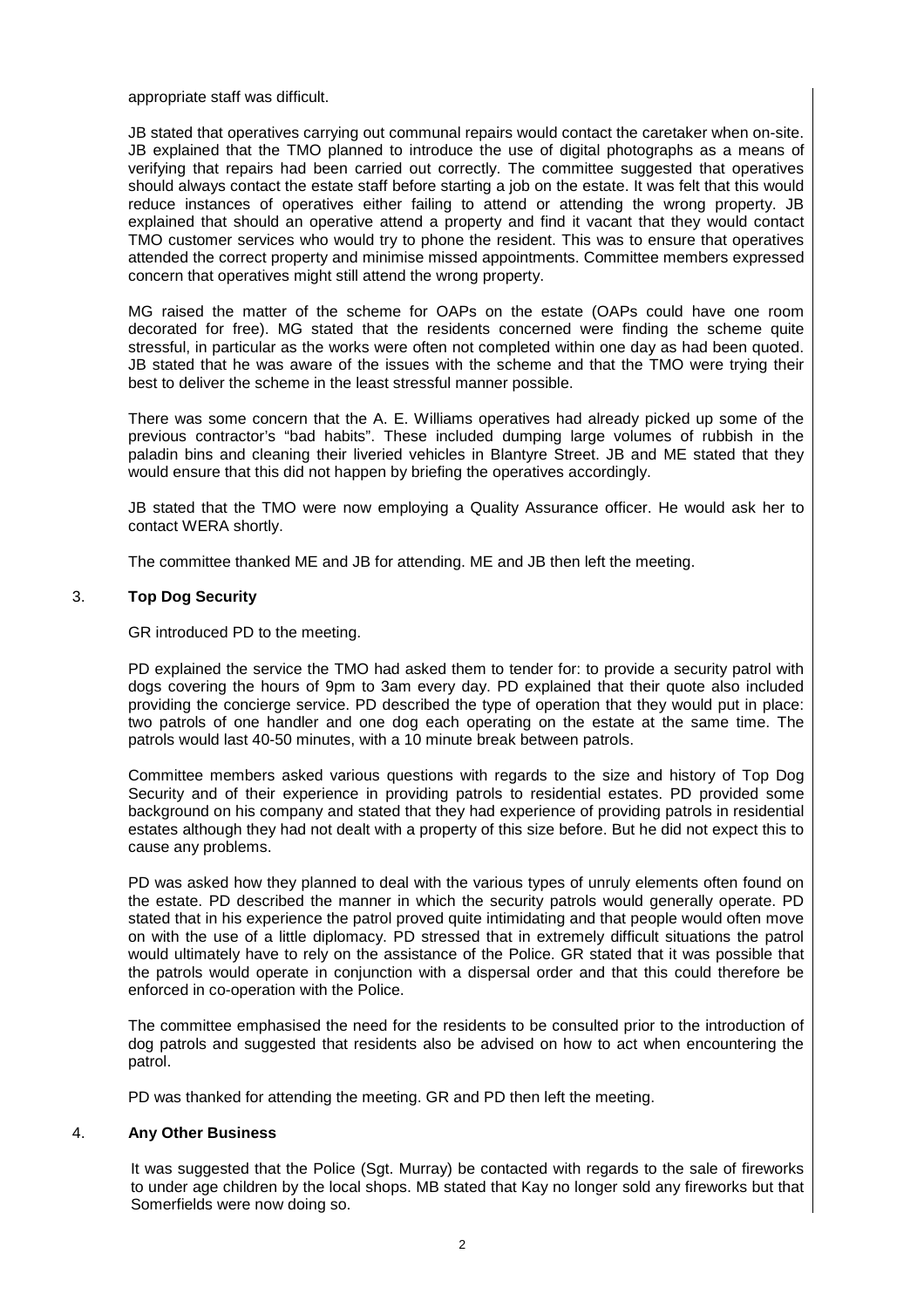appropriate staff was difficult.

JB stated that operatives carrying out communal repairs would contact the caretaker when on-site. JB explained that the TMO planned to introduce the use of digital photographs as a means of verifying that repairs had been carried out correctly. The committee suggested that operatives should always contact the estate staff before starting a job on the estate. It was felt that this would reduce instances of operatives either failing to attend or attending the wrong property. JB explained that should an operative attend a property and find it vacant that they would contact TMO customer services who would try to phone the resident. This was to ensure that operatives attended the correct property and minimise missed appointments. Committee members expressed concern that operatives might still attend the wrong property.

MG raised the matter of the scheme for OAPs on the estate (OAPs could have one room decorated for free). MG stated that the residents concerned were finding the scheme quite stressful, in particular as the works were often not completed within one day as had been quoted. JB stated that he was aware of the issues with the scheme and that the TMO were trying their best to deliver the scheme in the least stressful manner possible.

There was some concern that the A. E. Williams operatives had already picked up some of the previous contractor's "bad habits". These included dumping large volumes of rubbish in the paladin bins and cleaning their liveried vehicles in Blantyre Street. JB and ME stated that they would ensure that this did not happen by briefing the operatives accordingly.

JB stated that the TMO were now employing a Quality Assurance officer. He would ask her to contact WERA shortly.

The committee thanked ME and JB for attending. ME and JB then left the meeting.

### 3. **Top Dog Security**

GR introduced PD to the meeting.

PD explained the service the TMO had asked them to tender for: to provide a security patrol with dogs covering the hours of 9pm to 3am every day. PD explained that their quote also included providing the concierge service. PD described the type of operation that they would put in place: two patrols of one handler and one dog each operating on the estate at the same time. The patrols would last 40-50 minutes, with a 10 minute break between patrols.

Committee members asked various questions with regards to the size and history of Top Dog Security and of their experience in providing patrols to residential estates. PD provided some background on his company and stated that they had experience of providing patrols in residential estates although they had not dealt with a property of this size before. But he did not expect this to cause any problems.

PD was asked how they planned to deal with the various types of unruly elements often found on the estate. PD described the manner in which the security patrols would generally operate. PD stated that in his experience the patrol proved quite intimidating and that people would often move on with the use of a little diplomacy. PD stressed that in extremely difficult situations the patrol would ultimately have to rely on the assistance of the Police. GR stated that it was possible that the patrols would operate in conjunction with a dispersal order and that this could therefore be enforced in co-operation with the Police.

The committee emphasised the need for the residents to be consulted prior to the introduction of dog patrols and suggested that residents also be advised on how to act when encountering the patrol.

PD was thanked for attending the meeting. GR and PD then left the meeting.

### 4. **Any Other Business**

It was suggested that the Police (Sgt. Murray) be contacted with regards to the sale of fireworks to under age children by the local shops. MB stated that Kay no longer sold any fireworks but that Somerfields were now doing so.